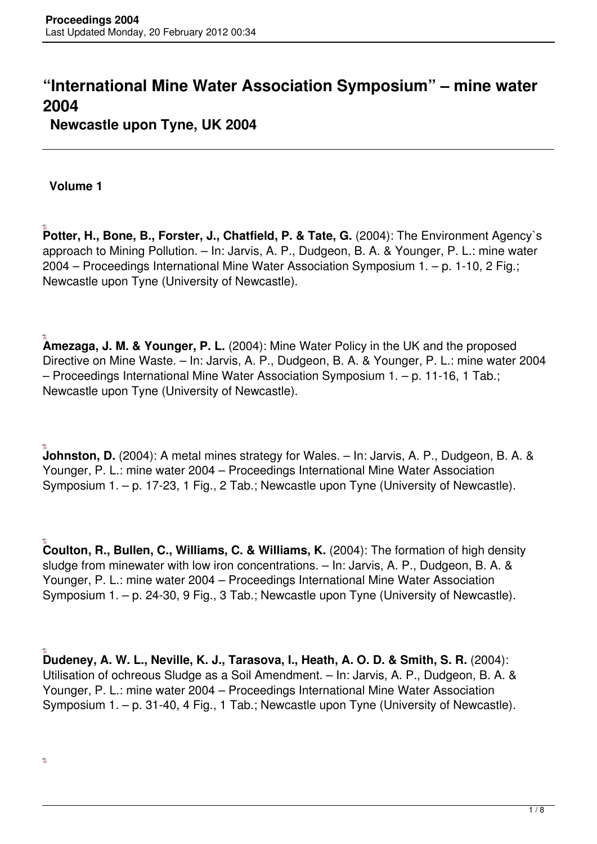## **"International Mine Water Association Symposium" – mine water 2004**

**Newcastle upon Tyne, UK 2004**

**Volume 1**

**Potter, H., Bone, B., Forster, J., Chatfield, P. & Tate, G.** (2004): The Environment Agency`s approach to Mining Pollution. – In: Jarvis, A. P., Dudgeon, B. A. & Younger, P. L.: mine water 2004 – Proceedings International Mine Water Association Symposium 1. – p. 1-10, 2 Fig.; Newcastle upon Tyne (University of Newcastle).

**Amezaga, J. M. & Younger, P. L.** (2004): Mine Water Policy in the UK and the proposed Directive on Mine Waste. – In: Jarvis, A. P., Dudgeon, B. A. & Younger, P. L.: mine water 2004 – Proceedings International Mine Water Association Symposium 1. – p. 11-16, 1 Tab.; Newcastle upon Tyne (University of Newcastle).

**Johnston, D.** (2004): A metal mines strategy for Wales. – In: Jarvis, A. P., Dudgeon, B. A. & Younger, P. L.: mine water 2004 – Proceedings International Mine Water Association Symposium 1. – p. 17-23, 1 Fig., 2 Tab.; Newcastle upon Tyne (University of Newcastle).

**Coulton, R., Bullen, C., Williams, C. & Williams, K.** (2004): The formation of high density sludge from minewater with low iron concentrations. – In: Jarvis, A. P., Dudgeon, B. A. & Younger, P. L.: mine water 2004 – Proceedings International Mine Water Association Symposium 1. – p. 24-30, 9 Fig., 3 Tab.; Newcastle upon Tyne (University of Newcastle).

**Dudeney, A. W. L., Neville, K. J., Tarasova, I., Heath, A. O. D. & Smith, S. R.** (2004): Utilisation of ochreous Sludge as a Soil Amendment. – In: Jarvis, A. P., Dudgeon, B. A. & Younger, P. L.: mine water 2004 – Proceedings International Mine Water Association Symposium 1. – p. 31-40, 4 Fig., 1 Tab.; Newcastle upon Tyne (University of Newcastle).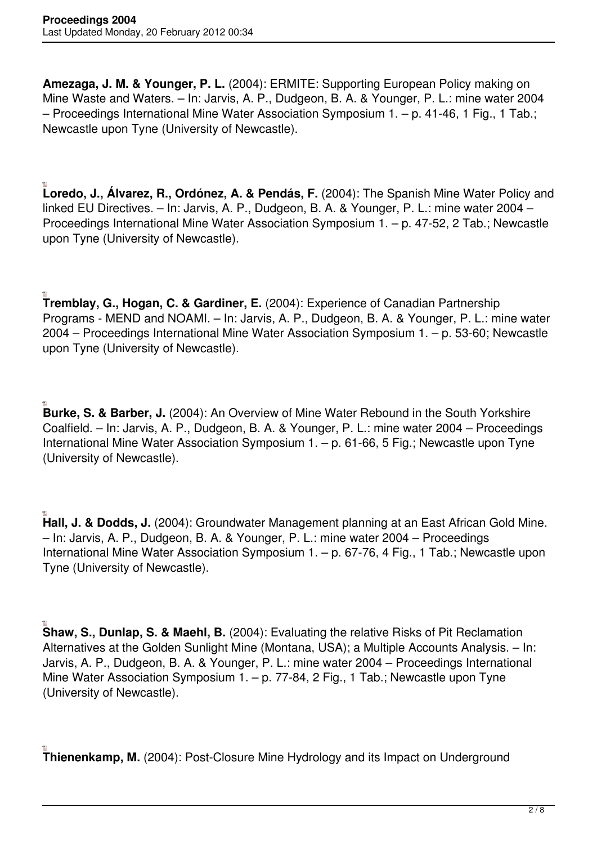**Amezaga, J. M. & Younger, P. L.** (2004): ERMITE: Supporting European Policy making on Mine Waste and Waters. – In: Jarvis, A. P., Dudgeon, B. A. & Younger, P. L.: mine water 2004 – Proceedings International Mine Water Association Symposium 1. – p. 41-46, 1 Fig., 1 Tab.; Newcastle upon Tyne (University of Newcastle).

**Loredo, J., Álvarez, R., Ordónez, A. & Pendás, F.** (2004): The Spanish Mine Water Policy and linked EU Directives. – In: Jarvis, A. P., Dudgeon, B. A. & Younger, P. L.: mine water 2004 – Proceedings International Mine Water Association Symposium 1. – p. 47-52, 2 Tab.; Newcastle upon Tyne (University of Newcastle).

**Tremblay, G., Hogan, C. & Gardiner, E.** (2004): Experience of Canadian Partnership Programs - MEND and NOAMI. – In: Jarvis, A. P., Dudgeon, B. A. & Younger, P. L.: mine water 2004 – Proceedings International Mine Water Association Symposium 1. – p. 53-60; Newcastle upon Tyne (University of Newcastle).

**Burke, S. & Barber, J.** (2004): An Overview of Mine Water Rebound in the South Yorkshire Coalfield. – In: Jarvis, A. P., Dudgeon, B. A. & Younger, P. L.: mine water 2004 – Proceedings International Mine Water Association Symposium 1. – p. 61-66, 5 Fig.; Newcastle upon Tyne (University of Newcastle).

**Hall, J. & Dodds, J.** (2004): Groundwater Management planning at an East African Gold Mine. – In: Jarvis, A. P., Dudgeon, B. A. & Younger, P. L.: mine water 2004 – Proceedings International Mine Water Association Symposium 1. – p. 67-76, 4 Fig., 1 Tab.; Newcastle upon Tyne (University of Newcastle).

**Shaw, S., Dunlap, S. & Maehl, B.** (2004): Evaluating the relative Risks of Pit Reclamation Alternatives at the Golden Sunlight Mine (Montana, USA); a Multiple Accounts Analysis. – In: Jarvis, A. P., Dudgeon, B. A. & Younger, P. L.: mine water 2004 – Proceedings International Mine Water Association Symposium 1. - p. 77-84, 2 Fig., 1 Tab.; Newcastle upon Tyne (University of Newcastle).

**Thienenkamp, M.** (2004): Post-Closure Mine Hydrology and its Impact on Underground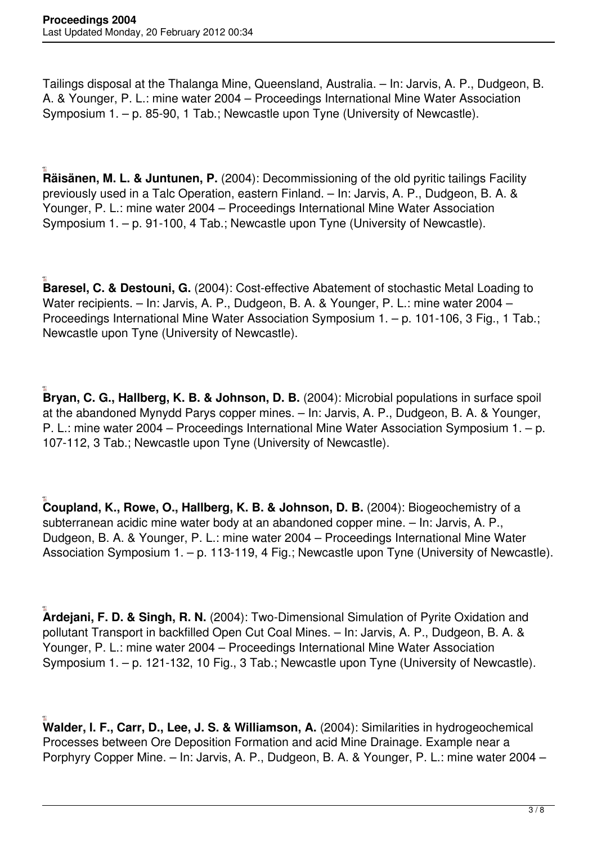Tailings disposal at the Thalanga Mine, Queensland, Australia. – In: Jarvis, A. P., Dudgeon, B. A. & Younger, P. L.: mine water 2004 – Proceedings International Mine Water Association Symposium 1. – p. 85-90, 1 Tab.; Newcastle upon Tyne (University of Newcastle).

**Räisänen, M. L. & Juntunen, P.** (2004): Decommissioning of the old pyritic tailings Facility previously used in a Talc Operation, eastern Finland. – In: Jarvis, A. P., Dudgeon, B. A. & Younger, P. L.: mine water 2004 – Proceedings International Mine Water Association Symposium 1. – p. 91-100, 4 Tab.; Newcastle upon Tyne (University of Newcastle).

**Baresel, C. & Destouni, G.** (2004): Cost-effective Abatement of stochastic Metal Loading to Water recipients. – In: Jarvis, A. P., Dudgeon, B. A. & Younger, P. L.: mine water 2004 – Proceedings International Mine Water Association Symposium 1. – p. 101-106, 3 Fig., 1 Tab.; Newcastle upon Tyne (University of Newcastle).

**Bryan, C. G., Hallberg, K. B. & Johnson, D. B.** (2004): Microbial populations in surface spoil at the abandoned Mynydd Parys copper mines. – In: Jarvis, A. P., Dudgeon, B. A. & Younger, P. L.: mine water 2004 – Proceedings International Mine Water Association Symposium 1. – p. 107-112, 3 Tab.; Newcastle upon Tyne (University of Newcastle).

**Coupland, K., Rowe, O., Hallberg, K. B. & Johnson, D. B.** (2004): Biogeochemistry of a subterranean acidic mine water body at an abandoned copper mine. – In: Jarvis, A. P., Dudgeon, B. A. & Younger, P. L.: mine water 2004 – Proceedings International Mine Water Association Symposium 1. – p. 113-119, 4 Fig.; Newcastle upon Tyne (University of Newcastle).

**Ardejani, F. D. & Singh, R. N.** (2004): Two-Dimensional Simulation of Pyrite Oxidation and pollutant Transport in backfilled Open Cut Coal Mines. – In: Jarvis, A. P., Dudgeon, B. A. & Younger, P. L.: mine water 2004 – Proceedings International Mine Water Association Symposium 1. – p. 121-132, 10 Fig., 3 Tab.; Newcastle upon Tyne (University of Newcastle).

**Walder, I. F., Carr, D., Lee, J. S. & Williamson, A.** (2004): Similarities in hydrogeochemical Processes between Ore Deposition Formation and acid Mine Drainage. Example near a Porphyry Copper Mine. – In: Jarvis, A. P., Dudgeon, B. A. & Younger, P. L.: mine water 2004 –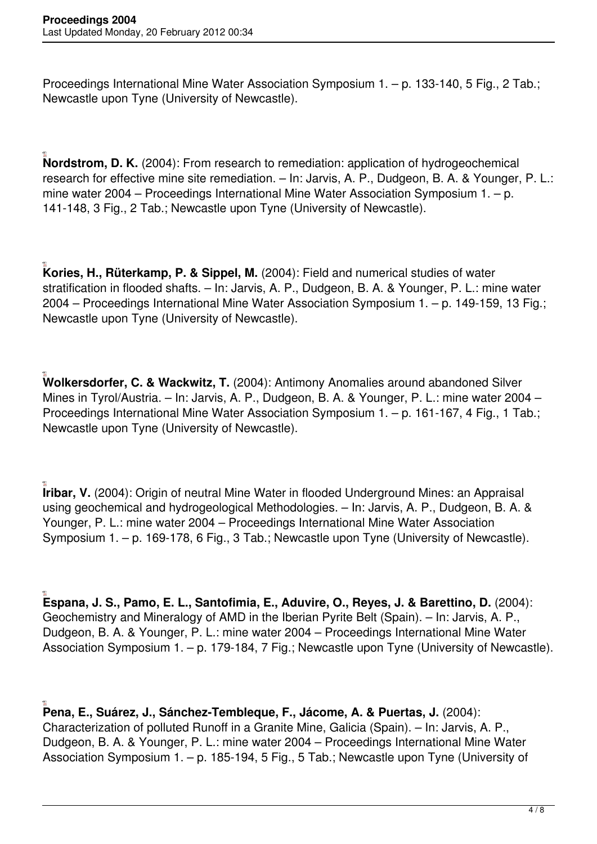Proceedings International Mine Water Association Symposium 1. – p. 133-140, 5 Fig., 2 Tab.; Newcastle upon Tyne (University of Newcastle).

**Nordstrom, D. K.** (2004): From research to remediation: application of hydrogeochemical research for effective mine site remediation. – In: Jarvis, A. P., Dudgeon, B. A. & Younger, P. L.: mine water 2004 – Proceedings International Mine Water Association Symposium 1. – p. 141-148, 3 Fig., 2 Tab.; Newcastle upon Tyne (University of Newcastle).

**Kories, H., Rüterkamp, P. & Sippel, M.** (2004): Field and numerical studies of water stratification in flooded shafts. – In: Jarvis, A. P., Dudgeon, B. A. & Younger, P. L.: mine water 2004 – Proceedings International Mine Water Association Symposium 1. – p. 149-159, 13 Fig.; Newcastle upon Tyne (University of Newcastle).

**Wolkersdorfer, C. & Wackwitz, T.** (2004): Antimony Anomalies around abandoned Silver Mines in Tyrol/Austria. – In: Jarvis, A. P., Dudgeon, B. A. & Younger, P. L.: mine water 2004 – Proceedings International Mine Water Association Symposium 1. – p. 161-167, 4 Fig., 1 Tab.; Newcastle upon Tyne (University of Newcastle).

**Iribar, V.** (2004): Origin of neutral Mine Water in flooded Underground Mines: an Appraisal using geochemical and hydrogeological Methodologies. – In: Jarvis, A. P., Dudgeon, B. A. & Younger, P. L.: mine water 2004 – Proceedings International Mine Water Association Symposium 1. – p. 169-178, 6 Fig., 3 Tab.; Newcastle upon Tyne (University of Newcastle).

**Espana, J. S., Pamo, E. L., Santofimia, E., Aduvire, O., Reyes, J. & Barettino, D.** (2004): Geochemistry and Mineralogy of AMD in the Iberian Pyrite Belt (Spain). – In: Jarvis, A. P., Dudgeon, B. A. & Younger, P. L.: mine water 2004 – Proceedings International Mine Water Association Symposium 1. – p. 179-184, 7 Fig.; Newcastle upon Tyne (University of Newcastle).

**Pena, E., Suárez, J., Sánchez-Tembleque, F., Jácome, A. & Puertas, J.** (2004): Characterization of polluted Runoff in a Granite Mine, Galicia (Spain). – In: Jarvis, A. P., Dudgeon, B. A. & Younger, P. L.: mine water 2004 – Proceedings International Mine Water Association Symposium 1. – p. 185-194, 5 Fig., 5 Tab.; Newcastle upon Tyne (University of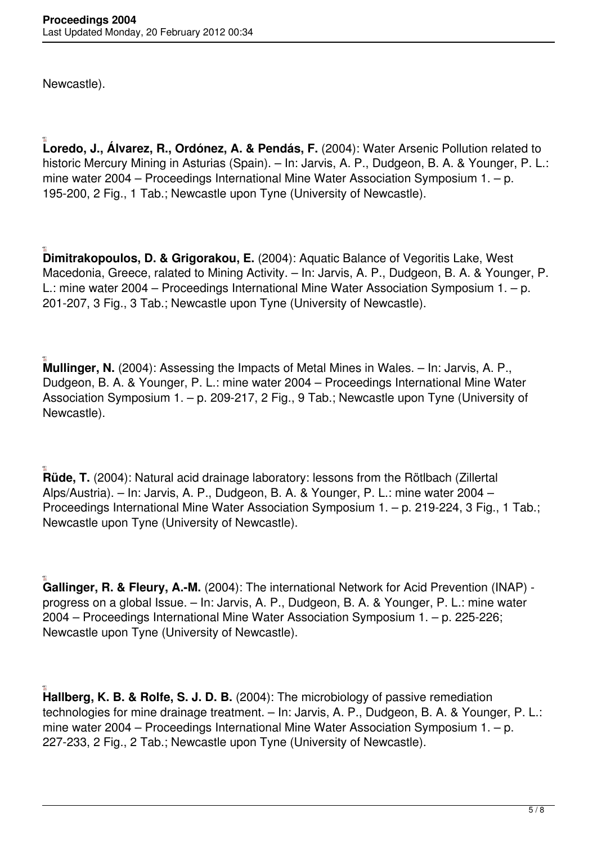Newcastle).

**Loredo, J., Álvarez, R., Ordónez, A. & Pendás, F.** (2004): Water Arsenic Pollution related to historic Mercury Mining in Asturias (Spain). – In: Jarvis, A. P., Dudgeon, B. A. & Younger, P. L.: mine water 2004 – Proceedings International Mine Water Association Symposium 1. – p. 195-200, 2 Fig., 1 Tab.; Newcastle upon Tyne (University of Newcastle).

**Dimitrakopoulos, D. & Grigorakou, E.** (2004): Aquatic Balance of Vegoritis Lake, West Macedonia, Greece, ralated to Mining Activity. – In: Jarvis, A. P., Dudgeon, B. A. & Younger, P. L.: mine water 2004 – Proceedings International Mine Water Association Symposium 1. – p. 201-207, 3 Fig., 3 Tab.; Newcastle upon Tyne (University of Newcastle).

**Mullinger, N.** (2004): Assessing the Impacts of Metal Mines in Wales. – In: Jarvis, A. P., Dudgeon, B. A. & Younger, P. L.: mine water 2004 – Proceedings International Mine Water Association Symposium 1. – p. 209-217, 2 Fig., 9 Tab.; Newcastle upon Tyne (University of Newcastle).

**Rüde, T.** (2004): Natural acid drainage laboratory: lessons from the Rötlbach (Zillertal Alps/Austria). – In: Jarvis, A. P., Dudgeon, B. A. & Younger, P. L.: mine water 2004 – Proceedings International Mine Water Association Symposium 1. – p. 219-224, 3 Fig., 1 Tab.; Newcastle upon Tyne (University of Newcastle).

**Gallinger, R. & Fleury, A.-M.** (2004): The international Network for Acid Prevention (INAP) progress on a global Issue. – In: Jarvis, A. P., Dudgeon, B. A. & Younger, P. L.: mine water 2004 – Proceedings International Mine Water Association Symposium 1. – p. 225-226; Newcastle upon Tyne (University of Newcastle).

**Hallberg, K. B. & Rolfe, S. J. D. B.** (2004): The microbiology of passive remediation technologies for mine drainage treatment. – In: Jarvis, A. P., Dudgeon, B. A. & Younger, P. L.: mine water 2004 – Proceedings International Mine Water Association Symposium 1. – p. 227-233, 2 Fig., 2 Tab.; Newcastle upon Tyne (University of Newcastle).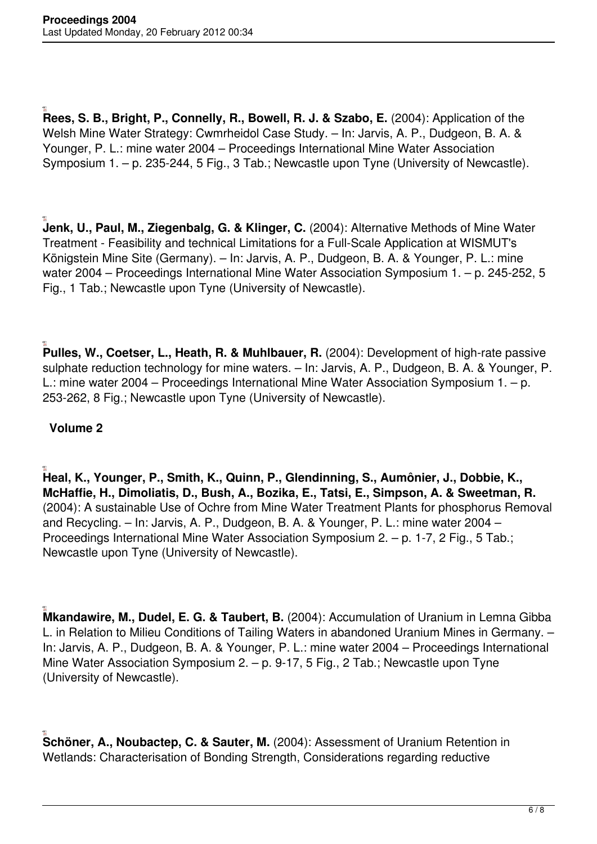**Rees, S. B., Bright, P., Connelly, R., Bowell, R. J. & Szabo, E.** (2004): Application of the Welsh Mine Water Strategy: Cwmrheidol Case Study. – In: Jarvis, A. P., Dudgeon, B. A. & Younger, P. L.: mine water 2004 – Proceedings International Mine Water Association Symposium 1. – p. 235-244, 5 Fig., 3 Tab.; Newcastle upon Tyne (University of Newcastle).

**Jenk, U., Paul, M., Ziegenbalg, G. & Klinger, C.** (2004): Alternative Methods of Mine Water Treatment - Feasibility and technical Limitations for a Full-Scale Application at WISMUT's Königstein Mine Site (Germany). – In: Jarvis, A. P., Dudgeon, B. A. & Younger, P. L.: mine water 2004 – Proceedings International Mine Water Association Symposium 1. – p. 245-252, 5 Fig., 1 Tab.; Newcastle upon Tyne (University of Newcastle).

**Pulles, W., Coetser, L., Heath, R. & Muhlbauer, R.** (2004): Development of high-rate passive sulphate reduction technology for mine waters. – In: Jarvis, A. P., Dudgeon, B. A. & Younger, P. L.: mine water 2004 – Proceedings International Mine Water Association Symposium 1. – p. 253-262, 8 Fig.; Newcastle upon Tyne (University of Newcastle).

## **Volume 2**

**Heal, K., Younger, P., Smith, K., Quinn, P., Glendinning, S., Aumônier, J., Dobbie, K., McHaffie, H., Dimoliatis, D., Bush, A., Bozika, E., Tatsi, E., Simpson, A. & Sweetman, R.** (2004): A sustainable Use of Ochre from Mine Water Treatment Plants for phosphorus Removal and Recycling. – In: Jarvis, A. P., Dudgeon, B. A. & Younger, P. L.: mine water 2004 – Proceedings International Mine Water Association Symposium 2. – p. 1-7, 2 Fig., 5 Tab.; Newcastle upon Tyne (University of Newcastle).

**Mkandawire, M., Dudel, E. G. & Taubert, B.** (2004): Accumulation of Uranium in Lemna Gibba L. in Relation to Milieu Conditions of Tailing Waters in abandoned Uranium Mines in Germany. – In: Jarvis, A. P., Dudgeon, B. A. & Younger, P. L.: mine water 2004 – Proceedings International Mine Water Association Symposium 2. – p. 9-17, 5 Fig., 2 Tab.; Newcastle upon Tyne (University of Newcastle).

**Schöner, A., Noubactep, C. & Sauter, M.** (2004): Assessment of Uranium Retention in Wetlands: Characterisation of Bonding Strength, Considerations regarding reductive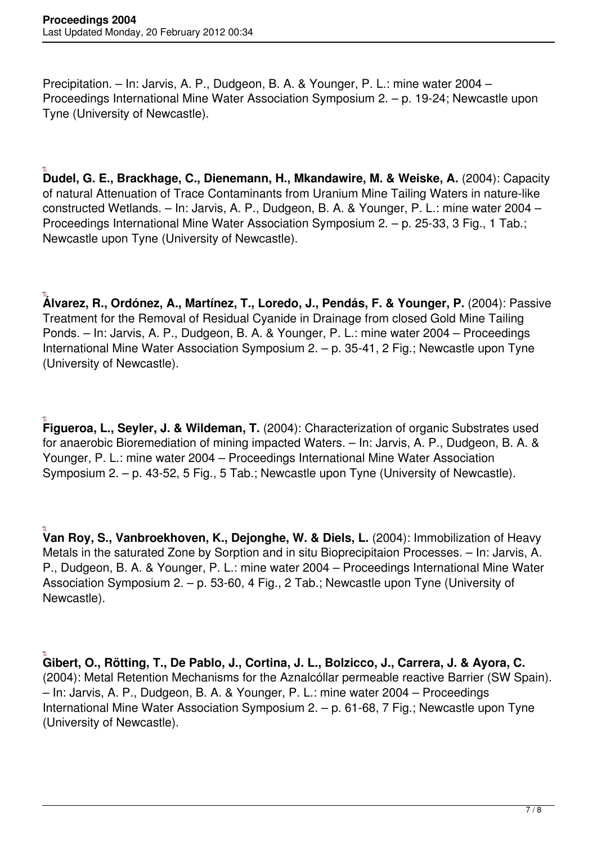Precipitation. – In: Jarvis, A. P., Dudgeon, B. A. & Younger, P. L.: mine water 2004 – Proceedings International Mine Water Association Symposium 2. – p. 19-24; Newcastle upon Tyne (University of Newcastle).

**Dudel, G. E., Brackhage, C., Dienemann, H., Mkandawire, M. & Weiske, A.** (2004): Capacity of natural Attenuation of Trace Contaminants from Uranium Mine Tailing Waters in nature-like constructed Wetlands. – In: Jarvis, A. P., Dudgeon, B. A. & Younger, P. L.: mine water 2004 – Proceedings International Mine Water Association Symposium 2. – p. 25-33, 3 Fig., 1 Tab.; Newcastle upon Tyne (University of Newcastle).

**Álvarez, R., Ordónez, A., Martínez, T., Loredo, J., Pendás, F. & Younger, P.** (2004): Passive Treatment for the Removal of Residual Cyanide in Drainage from closed Gold Mine Tailing Ponds. – In: Jarvis, A. P., Dudgeon, B. A. & Younger, P. L.: mine water 2004 – Proceedings International Mine Water Association Symposium 2. – p. 35-41, 2 Fig.; Newcastle upon Tyne (University of Newcastle).

**Figueroa, L., Seyler, J. & Wildeman, T.** (2004): Characterization of organic Substrates used for anaerobic Bioremediation of mining impacted Waters. – In: Jarvis, A. P., Dudgeon, B. A. & Younger, P. L.: mine water 2004 – Proceedings International Mine Water Association Symposium 2. – p. 43-52, 5 Fig., 5 Tab.; Newcastle upon Tyne (University of Newcastle).

**Van Roy, S., Vanbroekhoven, K., Dejonghe, W. & Diels, L.** (2004): Immobilization of Heavy Metals in the saturated Zone by Sorption and in situ Bioprecipitaion Processes. – In: Jarvis, A. P., Dudgeon, B. A. & Younger, P. L.: mine water 2004 – Proceedings International Mine Water Association Symposium 2. – p. 53-60, 4 Fig., 2 Tab.; Newcastle upon Tyne (University of Newcastle).

**Gibert, O., Rötting, T., De Pablo, J., Cortina, J. L., Bolzicco, J., Carrera, J. & Ayora, C.** (2004): Metal Retention Mechanisms for the Aznalcóllar permeable reactive Barrier (SW Spain). – In: Jarvis, A. P., Dudgeon, B. A. & Younger, P. L.: mine water 2004 – Proceedings International Mine Water Association Symposium 2. – p. 61-68, 7 Fig.; Newcastle upon Tyne (University of Newcastle).